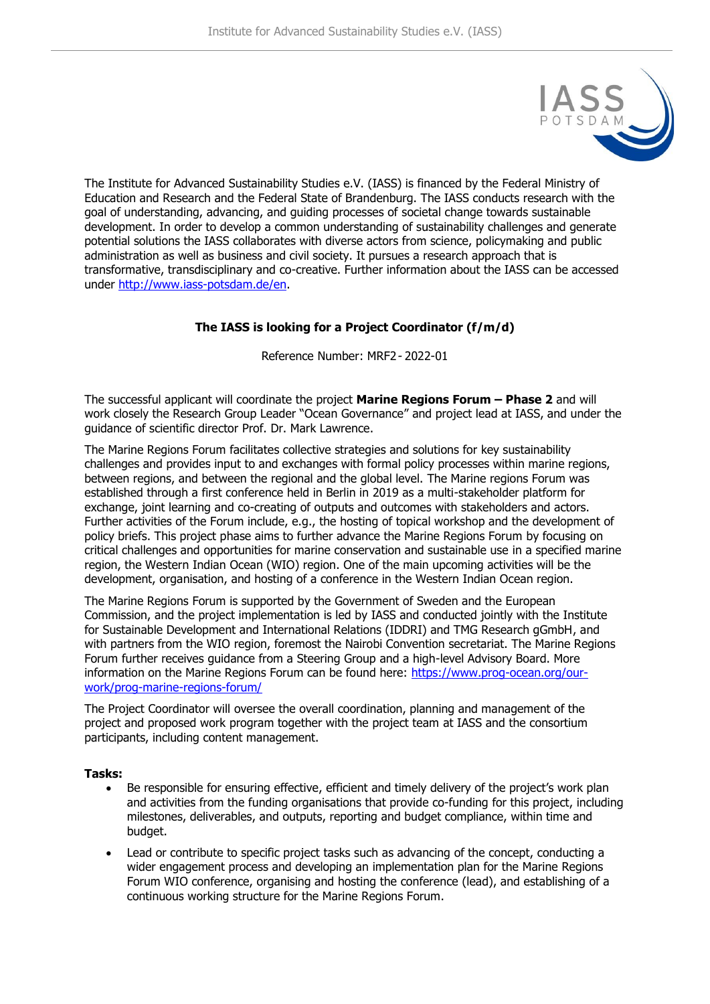

The Institute for Advanced Sustainability Studies e.V. (IASS) is financed by the Federal Ministry of Education and Research and the Federal State of Brandenburg. The IASS conducts research with the goal of understanding, advancing, and guiding processes of societal change towards sustainable development. In order to develop a common understanding of sustainability challenges and generate potential solutions the IASS collaborates with diverse actors from science, policymaking and public administration as well as business and civil society. It pursues a research approach that is transformative, transdisciplinary and co-creative. Further information about the IASS can be accessed under [http://www.iass-potsdam.de/en.](http://www.iass-potsdam.de/en)

# **The IASS is looking for a Project Coordinator (f/m/d)**

Reference Number: MRF2- 2022-01

The successful applicant will coordinate the project **Marine Regions Forum – Phase 2** and will work closely the Research Group Leader "Ocean Governance" and project lead at IASS, and under the guidance of scientific director Prof. Dr. Mark Lawrence.

The Marine Regions Forum facilitates collective strategies and solutions for key sustainability challenges and provides input to and exchanges with formal policy processes within marine regions, between regions, and between the regional and the global level. The Marine regions Forum was established through a first conference held in Berlin in 2019 as a multi-stakeholder platform for exchange, joint learning and co-creating of outputs and outcomes with stakeholders and actors. Further activities of the Forum include, e.g., the hosting of topical workshop and the development of policy briefs. This project phase aims to further advance the Marine Regions Forum by focusing on critical challenges and opportunities for marine conservation and sustainable use in a specified marine region, the Western Indian Ocean (WIO) region. One of the main upcoming activities will be the development, organisation, and hosting of a conference in the Western Indian Ocean region.

The Marine Regions Forum is supported by the Government of Sweden and the European Commission, and the project implementation is led by IASS and conducted jointly with the Institute for Sustainable Development and International Relations (IDDRI) and TMG Research gGmbH, and with partners from the WIO region, foremost the Nairobi Convention secretariat. The Marine Regions Forum further receives guidance from a Steering Group and a high-level Advisory Board. More information on the Marine Regions Forum can be found here: [https://www.prog-ocean.org/our](https://www.prog-ocean.org/our-work/prog-marine-regions-forum/)[work/prog-marine-regions-forum/](https://www.prog-ocean.org/our-work/prog-marine-regions-forum/)

The Project Coordinator will oversee the overall coordination, planning and management of the project and proposed work program together with the project team at IASS and the consortium participants, including content management.

### **Tasks:**

- Be responsible for ensuring effective, efficient and timely delivery of the project's work plan and activities from the funding organisations that provide co-funding for this project, including milestones, deliverables, and outputs, reporting and budget compliance, within time and budget.
- Lead or contribute to specific project tasks such as advancing of the concept, conducting a wider engagement process and developing an implementation plan for the Marine Regions Forum WIO conference, organising and hosting the conference (lead), and establishing of a continuous working structure for the Marine Regions Forum.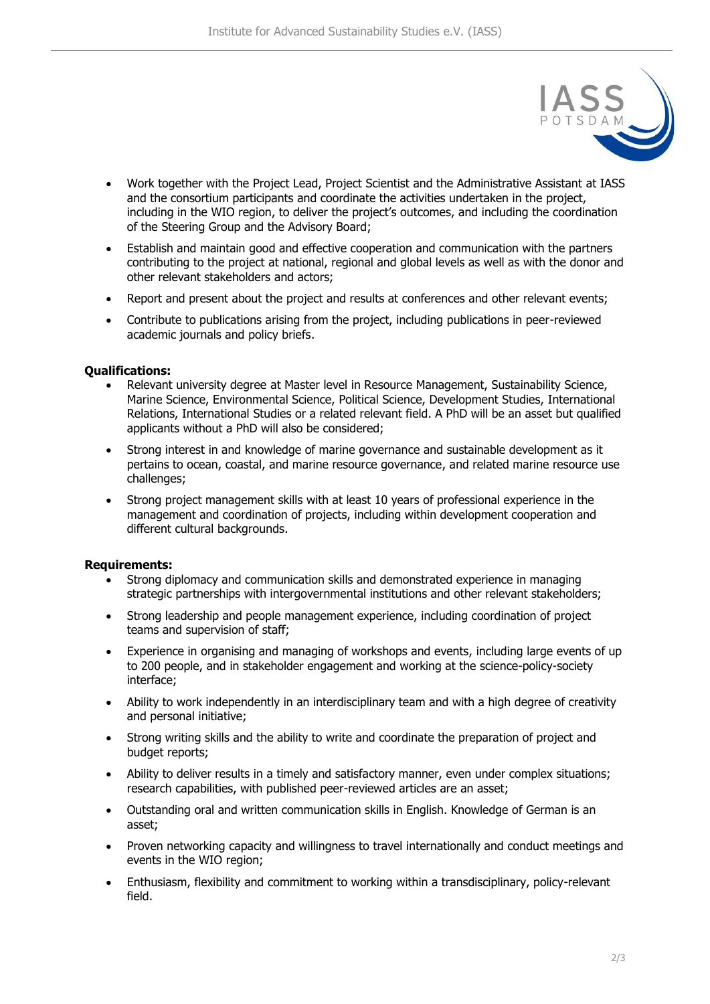

- Work together with the Project Lead, Project Scientist and the Administrative Assistant at IASS and the consortium participants and coordinate the activities undertaken in the project, including in the WIO region, to deliver the project's outcomes, and including the coordination of the Steering Group and the Advisory Board;
- Establish and maintain good and effective cooperation and communication with the partners contributing to the project at national, regional and global levels as well as with the donor and other relevant stakeholders and actors;
- Report and present about the project and results at conferences and other relevant events;
- Contribute to publications arising from the project, including publications in peer-reviewed academic journals and policy briefs.

### **Qualifications:**

- Relevant university degree at Master level in Resource Management, Sustainability Science, Marine Science, Environmental Science, Political Science, Development Studies, International Relations, International Studies or a related relevant field. A PhD will be an asset but qualified applicants without a PhD will also be considered;
- Strong interest in and knowledge of marine governance and sustainable development as it pertains to ocean, coastal, and marine resource governance, and related marine resource use challenges;
- Strong project management skills with at least 10 years of professional experience in the management and coordination of projects, including within development cooperation and different cultural backgrounds.

### **Requirements:**

- Strong diplomacy and communication skills and demonstrated experience in managing strategic partnerships with intergovernmental institutions and other relevant stakeholders;
- Strong leadership and people management experience, including coordination of project teams and supervision of staff;
- Experience in organising and managing of workshops and events, including large events of up to 200 people, and in stakeholder engagement and working at the science-policy-society interface;
- Ability to work independently in an interdisciplinary team and with a high degree of creativity and personal initiative;
- Strong writing skills and the ability to write and coordinate the preparation of project and budget reports;
- Ability to deliver results in a timely and satisfactory manner, even under complex situations; research capabilities, with published peer-reviewed articles are an asset;
- Outstanding oral and written communication skills in English. Knowledge of German is an asset;
- Proven networking capacity and willingness to travel internationally and conduct meetings and events in the WIO region;
- Enthusiasm, flexibility and commitment to working within a transdisciplinary, policy-relevant field.